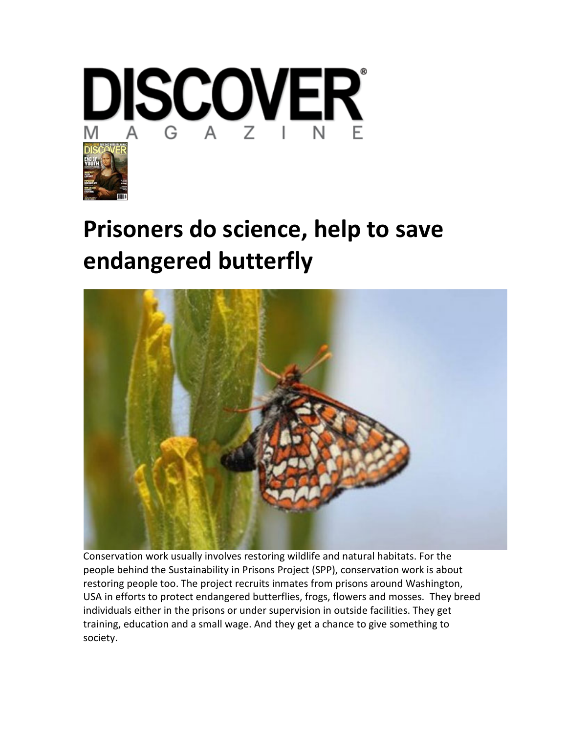

## **[Prisoners do science, help to save](http://blogs.discovermagazine.com/notrocketscience/2012/08/09/prisoners-do-science-help-to-save-endangered-butterfly/)  [endangered butterfly](http://blogs.discovermagazine.com/notrocketscience/2012/08/09/prisoners-do-science-help-to-save-endangered-butterfly/)**



Conservation work usually involves restoring wildlife and natural habitats. For the people behind the Sustainability in Prisons Project (SPP), conservation work is about restoring people too. The project recruits inmates from prisons around Washington, USA in efforts to protect endangered butterflies, frogs, flowers and mosses. They breed individuals either in the prisons or under supervision in outside facilities. They get training, education and a small wage. And they get a chance to give something to society.